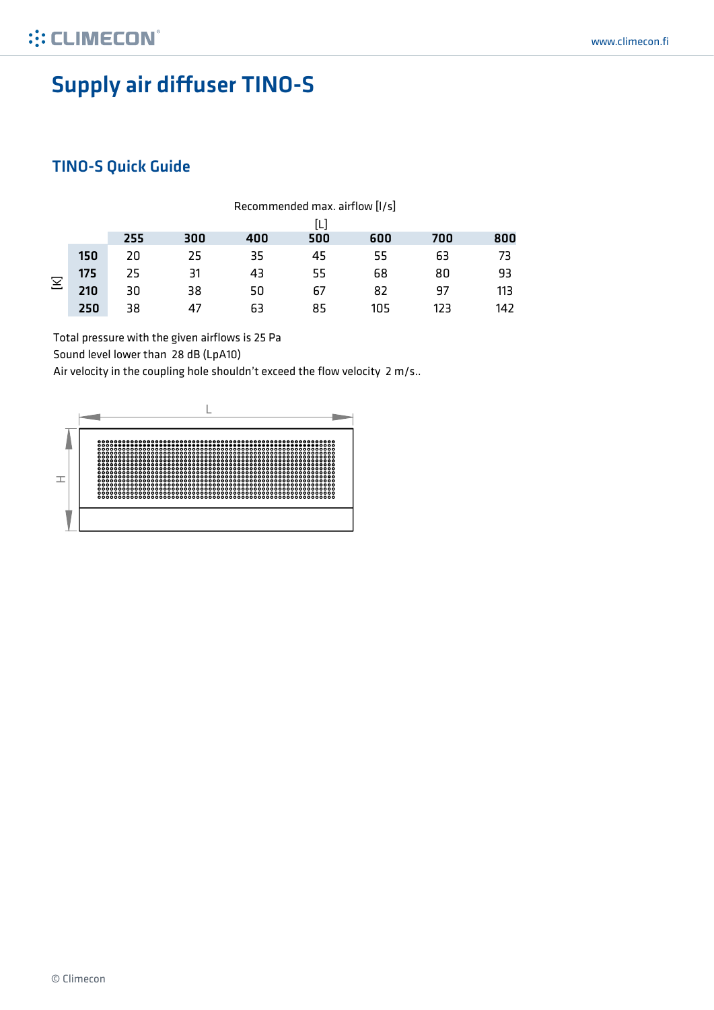# Supply air diffuser TINO-S

#### TINO-S Quick Guide

|   |     | Recommended max. airflow [I/s] |     |     |     |     |     |     |  |  |
|---|-----|--------------------------------|-----|-----|-----|-----|-----|-----|--|--|
|   |     | [L]                            |     |     |     |     |     |     |  |  |
|   |     | 255                            | 300 | 400 | 500 | 600 | 700 | 800 |  |  |
| Σ | 150 | 20                             | 25  | 35  | 45  | 55  | 63  | 73  |  |  |
|   | 175 | 25                             | 31  | 43  | 55  | 68  | 80  | 93  |  |  |
|   | 210 | 30                             | 38  | 50  | 67  | 82  | 97  | 113 |  |  |
|   | 250 | 38                             | 47  | 63  | 85  | 105 | 123 | 142 |  |  |

Total pressure with the given airflows is 25 Pa

Sound level lower than 28 dB (LpA10)

Air velocity in the coupling hole shouldn't exceed the flow velocity 2 m/s..

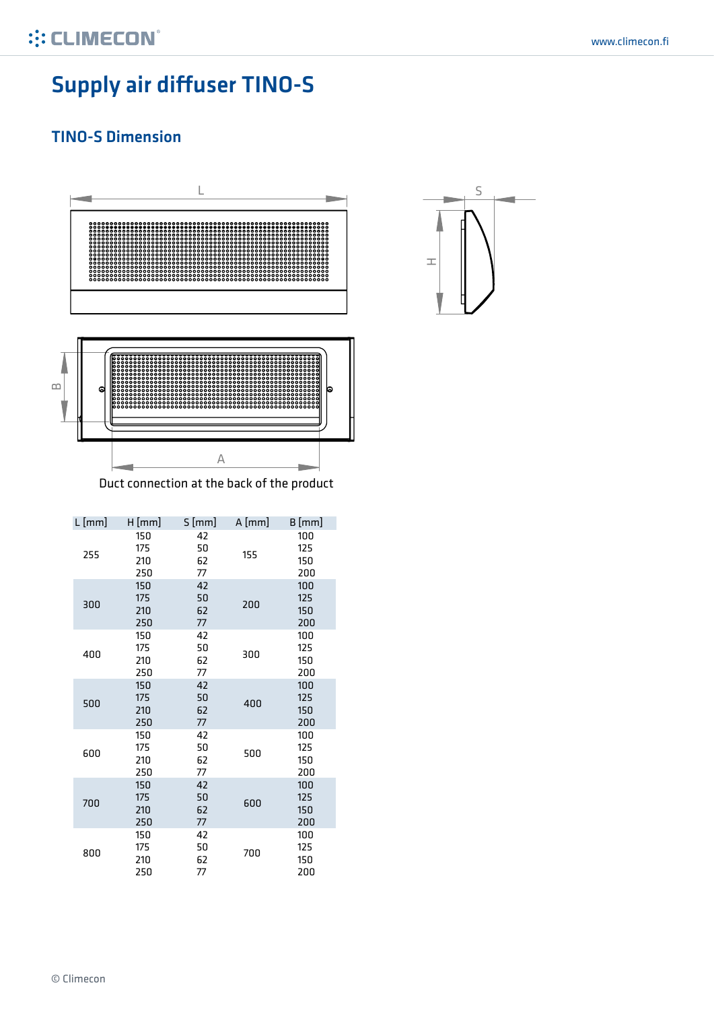# Supply air diffuser TINO-S

#### TINO-S Dimension



| $L$ [mm] | H[mm]                    | S[mm]                | $A$ [mm] | $B$ [mm]                 |
|----------|--------------------------|----------------------|----------|--------------------------|
| 255      | 150<br>175<br>210<br>250 | 42<br>50<br>62<br>77 | 155      | 100<br>125<br>150<br>200 |
| 300      | 150<br>175<br>210<br>250 | 42<br>50<br>62<br>77 | 200      | 100<br>125<br>150<br>200 |
| 400      | 150<br>175<br>210<br>250 | 42<br>50<br>62<br>77 | 300      | 100<br>125<br>150<br>200 |
| 500      | 150<br>175<br>210<br>250 | 42<br>50<br>62<br>77 | 400      | 100<br>125<br>150<br>200 |
| 600      | 150<br>175<br>210<br>250 | 42<br>50<br>62<br>77 | 500      | 100<br>125<br>150<br>200 |
| 700      | 150<br>175<br>210<br>250 | 42<br>50<br>62<br>77 | 600      | 100<br>125<br>150<br>200 |
| 800      | 150<br>175<br>210<br>250 | 42<br>50<br>62<br>77 | 700      | 100<br>125<br>150<br>200 |

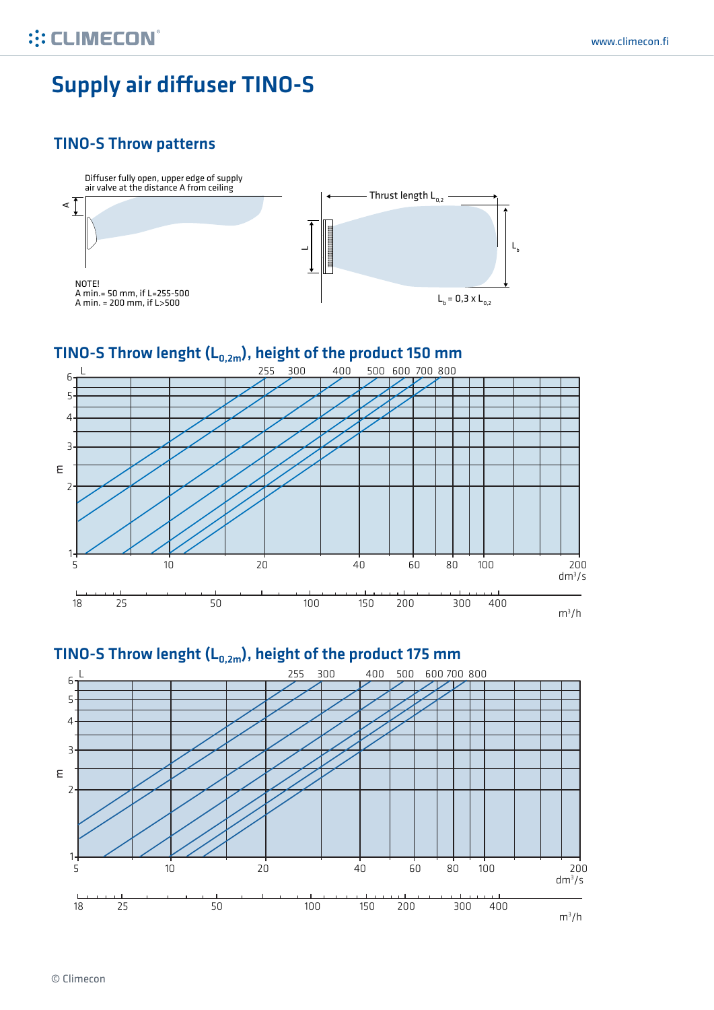## Supply air diffuser TINO-S

#### TINO-S Throw patterns



# TINO-S Throw lenght (L<sub>0,2m</sub>), height of the product 150 mm



### TINO-S Throw lenght (L<sub>0,2m</sub>), height of the product 175 mm